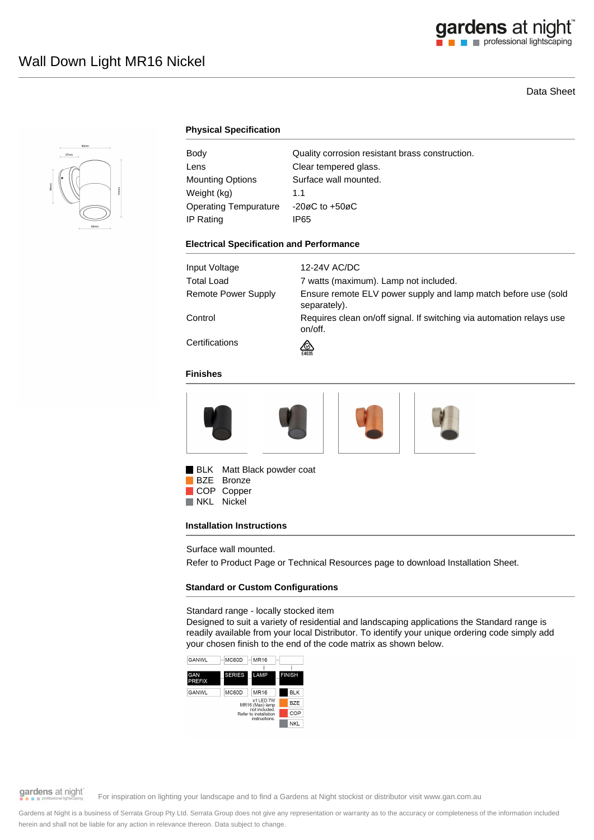## gardens at night

## Data Sheet



## **Physical Specification**

| Body                         | Quality corrosion resistant brass construction. |
|------------------------------|-------------------------------------------------|
| Lens                         | Clear tempered glass.                           |
| Mounting Options             | Surface wall mounted.                           |
| Weight (kg)                  | 1.1                                             |
| <b>Operating Tempurature</b> | $-20\varnothing$ C to $+50\varnothing$ C        |
| IP Rating                    | IP65                                            |

#### **Electrical Specification and Performance**

| Input Voltage       | 12-24V AC/DC                                                                    |
|---------------------|---------------------------------------------------------------------------------|
| Total Load          | 7 watts (maximum). Lamp not included.                                           |
| Remote Power Supply | Ensure remote ELV power supply and lamp match before use (sold<br>separately).  |
| Control             | Requires clean on/off signal. If switching via automation relays use<br>on/off. |
| Certifications      | ∞<br>E4635                                                                      |

## **Finishes**



BLK Matt Black powder coat

BZE Bronze COP Copper<br>NKL Nickel Nickel

## **Installation Instructions**

Surface wall mounted.

Refer to Product Page or Technical Resources page to download Installation Sheet.

## **Standard or Custom Configurations**

Standard range - locally stocked item

Designed to suit a variety of residential and landscaping applications the Standard range is readily available from your local Distributor. To identify your unique ordering code simply add your chosen finish to the end of the code matrix as shown below.



## gardens at night

For inspiration on lighting your landscape and to find a Gardens at Night stockist or distributor visit www.gan.com.au

Gardens at Night is a business of Serrata Group Pty Ltd. Serrata Group does not give any representation or warranty as to the accuracy or completeness of the information included herein and shall not be liable for any action in relevance thereon. Data subject to change.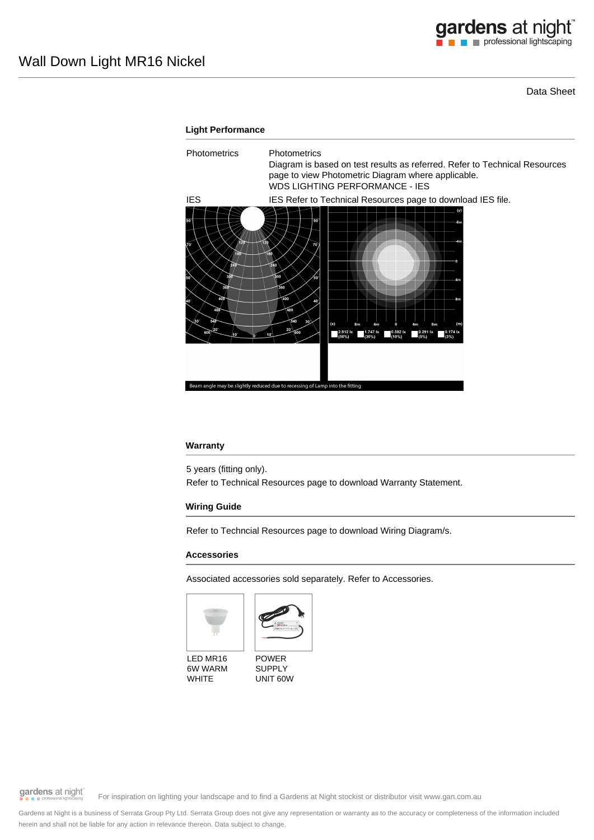Data Sheet

# **Light Performance** Photometrics Photometrics Diagram is based on test results as referred. Refer to Technical Resources page to view Photometric Diagram where applicable. WDS LIGHTING PERFORMANCE - IES IES IES Refer to Technical Resources page to download IES file.  $2.9121$ essing of Lamp into the

## **Warranty**

5 years (fitting only). Refer to Technical Resources page to download Warranty Statement.

## **Wiring Guide**

Refer to Techncial Resources page to download Wiring Diagram/s.

## **Accessories**

Associated accessories sold separately. Refer to Accessories.





LED MR16 6W WARM **WHITE** 

POWER SUPPLY UNIT 60W

gardens at night

For inspiration on lighting your landscape and to find a Gardens at Night stockist or distributor visit www.gan.com.au

Gardens at Night is a business of Serrata Group Pty Ltd. Serrata Group does not give any representation or warranty as to the accuracy or completeness of the information included herein and shall not be liable for any action in relevance thereon. Data subject to change.